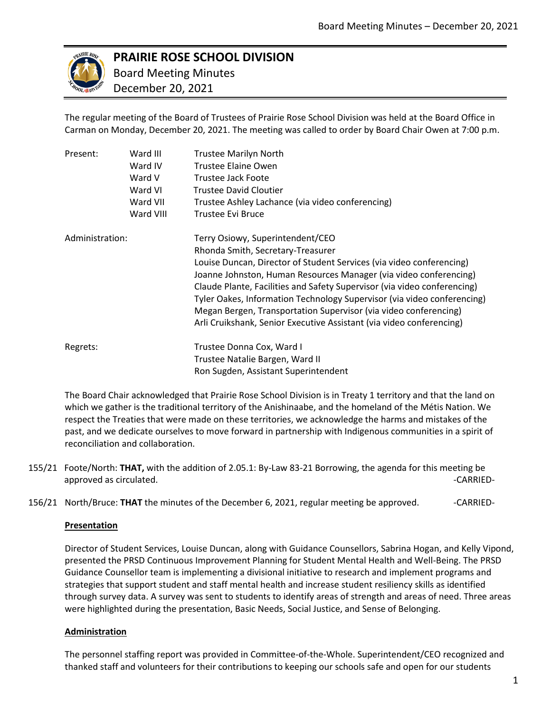

# **PRAIRIE ROSE SCHOOL DIVISION**

 Board Meeting Minutes December 20, 2021

The regular meeting of the Board of Trustees of Prairie Rose School Division was held at the Board Office in Carman on Monday, December 20, 2021. The meeting was called to order by Board Chair Owen at 7:00 p.m.

| Present:        | Ward III  | <b>Trustee Marilyn North</b>                                                                                                                                                                                                                                                                                                                                                                                                                                                                                          |
|-----------------|-----------|-----------------------------------------------------------------------------------------------------------------------------------------------------------------------------------------------------------------------------------------------------------------------------------------------------------------------------------------------------------------------------------------------------------------------------------------------------------------------------------------------------------------------|
|                 | Ward IV   | Trustee Elaine Owen                                                                                                                                                                                                                                                                                                                                                                                                                                                                                                   |
|                 | Ward V    | Trustee Jack Foote                                                                                                                                                                                                                                                                                                                                                                                                                                                                                                    |
|                 | Ward VI   | <b>Trustee David Cloutier</b>                                                                                                                                                                                                                                                                                                                                                                                                                                                                                         |
|                 | Ward VII  | Trustee Ashley Lachance (via video conferencing)                                                                                                                                                                                                                                                                                                                                                                                                                                                                      |
|                 | Ward VIII | Trustee Evi Bruce                                                                                                                                                                                                                                                                                                                                                                                                                                                                                                     |
| Administration: |           | Terry Osiowy, Superintendent/CEO<br>Rhonda Smith, Secretary-Treasurer<br>Louise Duncan, Director of Student Services (via video conferencing)<br>Joanne Johnston, Human Resources Manager (via video conferencing)<br>Claude Plante, Facilities and Safety Supervisor (via video conferencing)<br>Tyler Oakes, Information Technology Supervisor (via video conferencing)<br>Megan Bergen, Transportation Supervisor (via video conferencing)<br>Arli Cruikshank, Senior Executive Assistant (via video conferencing) |
| Regrets:        |           | Trustee Donna Cox, Ward I<br>Trustee Natalie Bargen, Ward II<br>Ron Sugden, Assistant Superintendent                                                                                                                                                                                                                                                                                                                                                                                                                  |

The Board Chair acknowledged that Prairie Rose School Division is in Treaty 1 territory and that the land on which we gather is the traditional territory of the Anishinaabe, and the homeland of the Métis Nation. We respect the Treaties that were made on these territories, we acknowledge the harms and mistakes of the past, and we dedicate ourselves to move forward in partnership with Indigenous communities in a spirit of reconciliation and collaboration.

- 155/21 Foote/North: **THAT,** with the addition of 2.05.1: By-Law 83-21 Borrowing, the agenda for this meeting be approved as circulated. The contract of the contract of the contract of the contract of the contract of the contract of the contract of the contract of the contract of the contract of the contract of the contract of the co
- 156/21 North/Bruce: **THAT** the minutes of the December 6, 2021, regular meeting be approved. -------------------

## **Presentation**

Director of Student Services, Louise Duncan, along with Guidance Counsellors, Sabrina Hogan, and Kelly Vipond, presented the PRSD Continuous Improvement Planning for Student Mental Health and Well-Being. The PRSD Guidance Counsellor team is implementing a divisional initiative to research and implement programs and strategies that support student and staff mental health and increase student resiliency skills as identified through survey data. A survey was sent to students to identify areas of strength and areas of need. Three areas were highlighted during the presentation, Basic Needs, Social Justice, and Sense of Belonging.

## **Administration**

The personnel staffing report was provided in Committee-of-the-Whole. Superintendent/CEO recognized and thanked staff and volunteers for their contributions to keeping our schools safe and open for our students